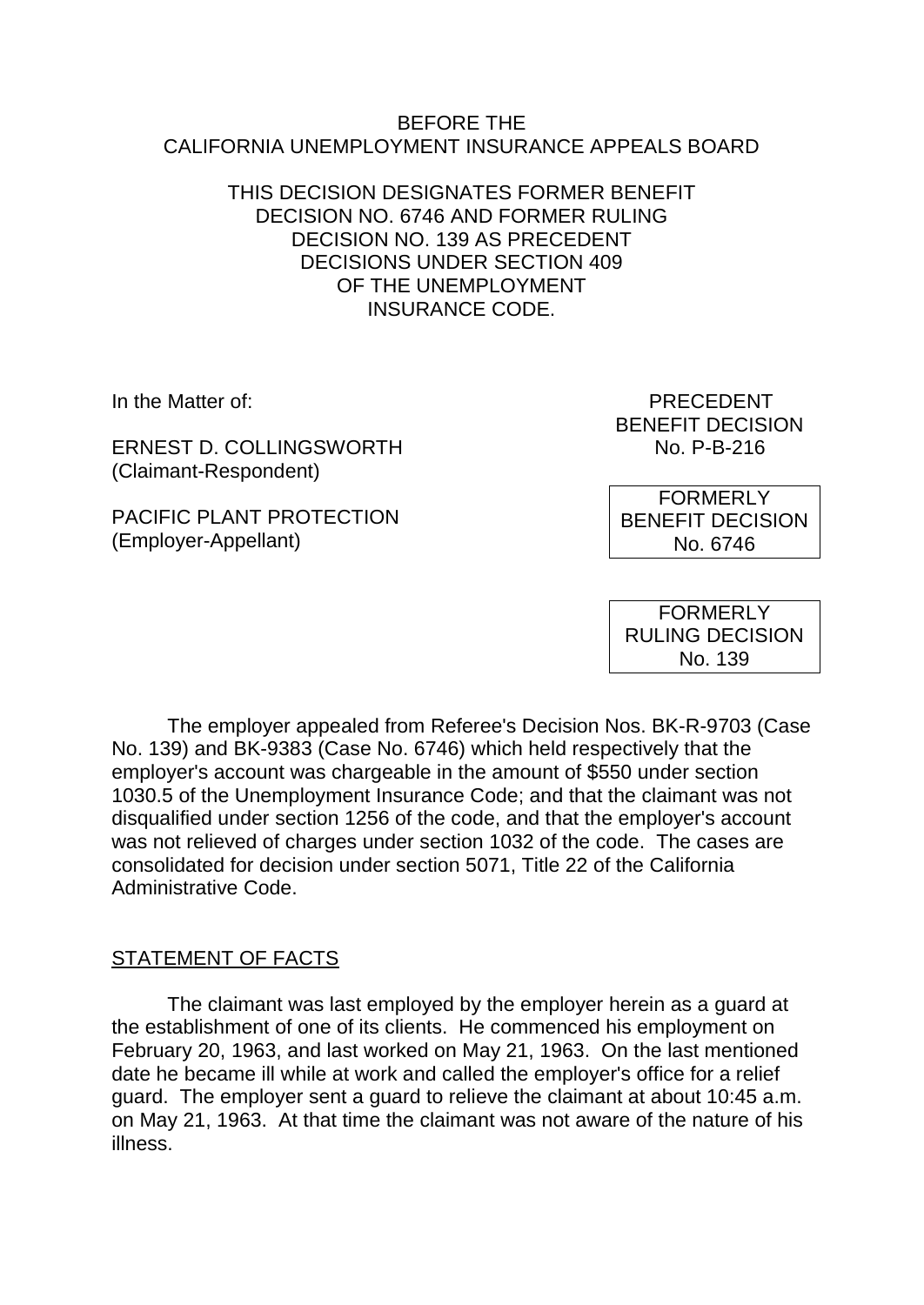#### BEFORE THE CALIFORNIA UNEMPLOYMENT INSURANCE APPEALS BOARD

#### THIS DECISION DESIGNATES FORMER BENEFIT DECISION NO. 6746 AND FORMER RULING DECISION NO. 139 AS PRECEDENT DECISIONS UNDER SECTION 409 OF THE UNEMPLOYMENT INSURANCE CODE.

ERNEST D. COLLINGSWORTH NO. P-B-216 (Claimant-Respondent)

PACIFIC PLANT PROTECTION (Employer-Appellant)

In the Matter of: PRECEDENT BENEFIT DECISION

> FORMERLY BENEFIT DECISION No. 6746

FORMERLY RULING DECISION No. 139

The employer appealed from Referee's Decision Nos. BK-R-9703 (Case No. 139) and BK-9383 (Case No. 6746) which held respectively that the employer's account was chargeable in the amount of \$550 under section 1030.5 of the Unemployment Insurance Code; and that the claimant was not disqualified under section 1256 of the code, and that the employer's account was not relieved of charges under section 1032 of the code. The cases are consolidated for decision under section 5071, Title 22 of the California Administrative Code.

# STATEMENT OF FACTS

The claimant was last employed by the employer herein as a guard at the establishment of one of its clients. He commenced his employment on February 20, 1963, and last worked on May 21, 1963. On the last mentioned date he became ill while at work and called the employer's office for a relief guard. The employer sent a guard to relieve the claimant at about 10:45 a.m. on May 21, 1963. At that time the claimant was not aware of the nature of his illness.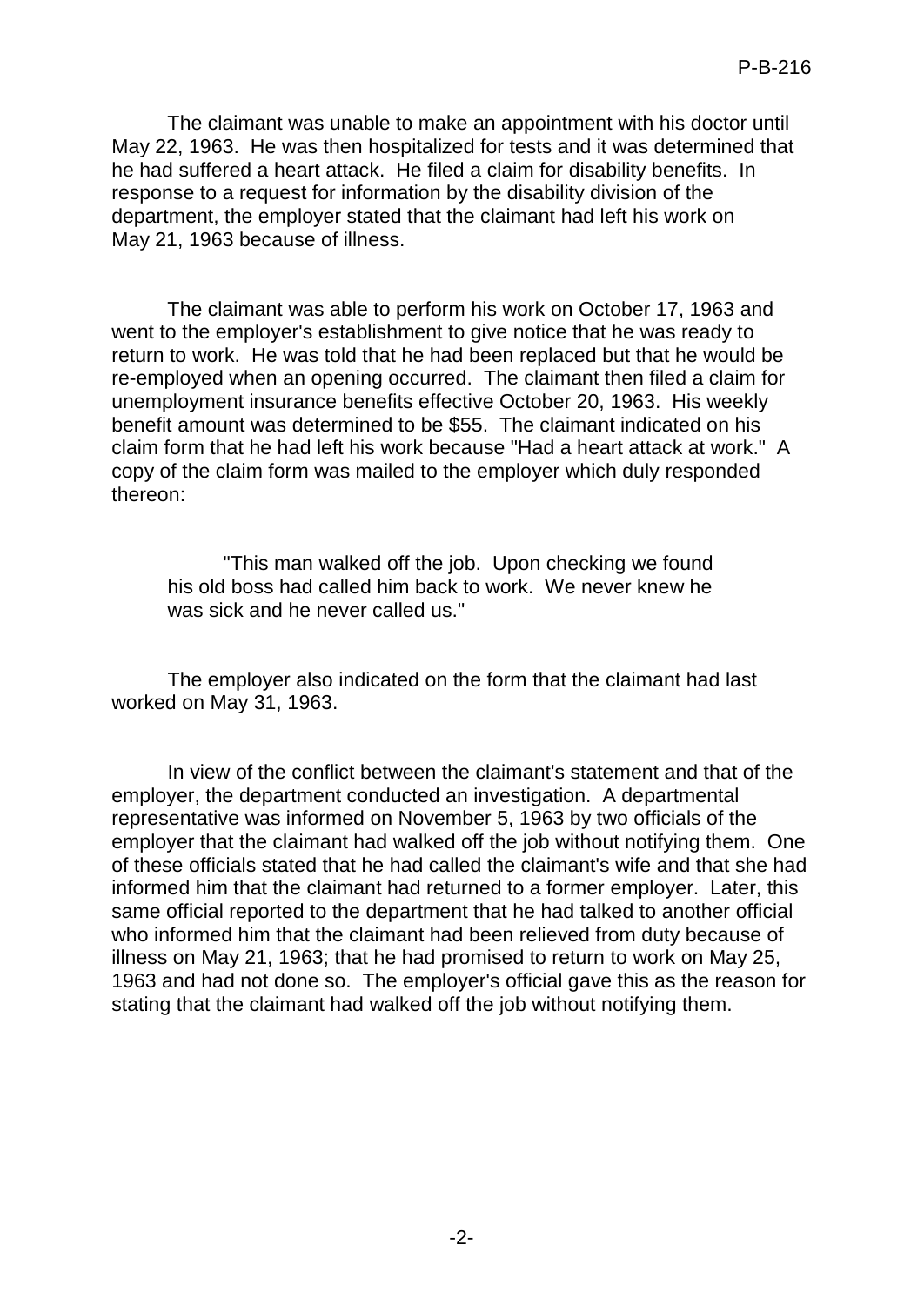The claimant was unable to make an appointment with his doctor until May 22, 1963. He was then hospitalized for tests and it was determined that he had suffered a heart attack. He filed a claim for disability benefits. In response to a request for information by the disability division of the department, the employer stated that the claimant had left his work on May 21, 1963 because of illness.

The claimant was able to perform his work on October 17, 1963 and went to the employer's establishment to give notice that he was ready to return to work. He was told that he had been replaced but that he would be re-employed when an opening occurred. The claimant then filed a claim for unemployment insurance benefits effective October 20, 1963. His weekly benefit amount was determined to be \$55. The claimant indicated on his claim form that he had left his work because "Had a heart attack at work." A copy of the claim form was mailed to the employer which duly responded thereon:

"This man walked off the job. Upon checking we found his old boss had called him back to work. We never knew he was sick and he never called us."

The employer also indicated on the form that the claimant had last worked on May 31, 1963.

In view of the conflict between the claimant's statement and that of the employer, the department conducted an investigation. A departmental representative was informed on November 5, 1963 by two officials of the employer that the claimant had walked off the job without notifying them. One of these officials stated that he had called the claimant's wife and that she had informed him that the claimant had returned to a former employer. Later, this same official reported to the department that he had talked to another official who informed him that the claimant had been relieved from duty because of illness on May 21, 1963; that he had promised to return to work on May 25, 1963 and had not done so. The employer's official gave this as the reason for stating that the claimant had walked off the job without notifying them.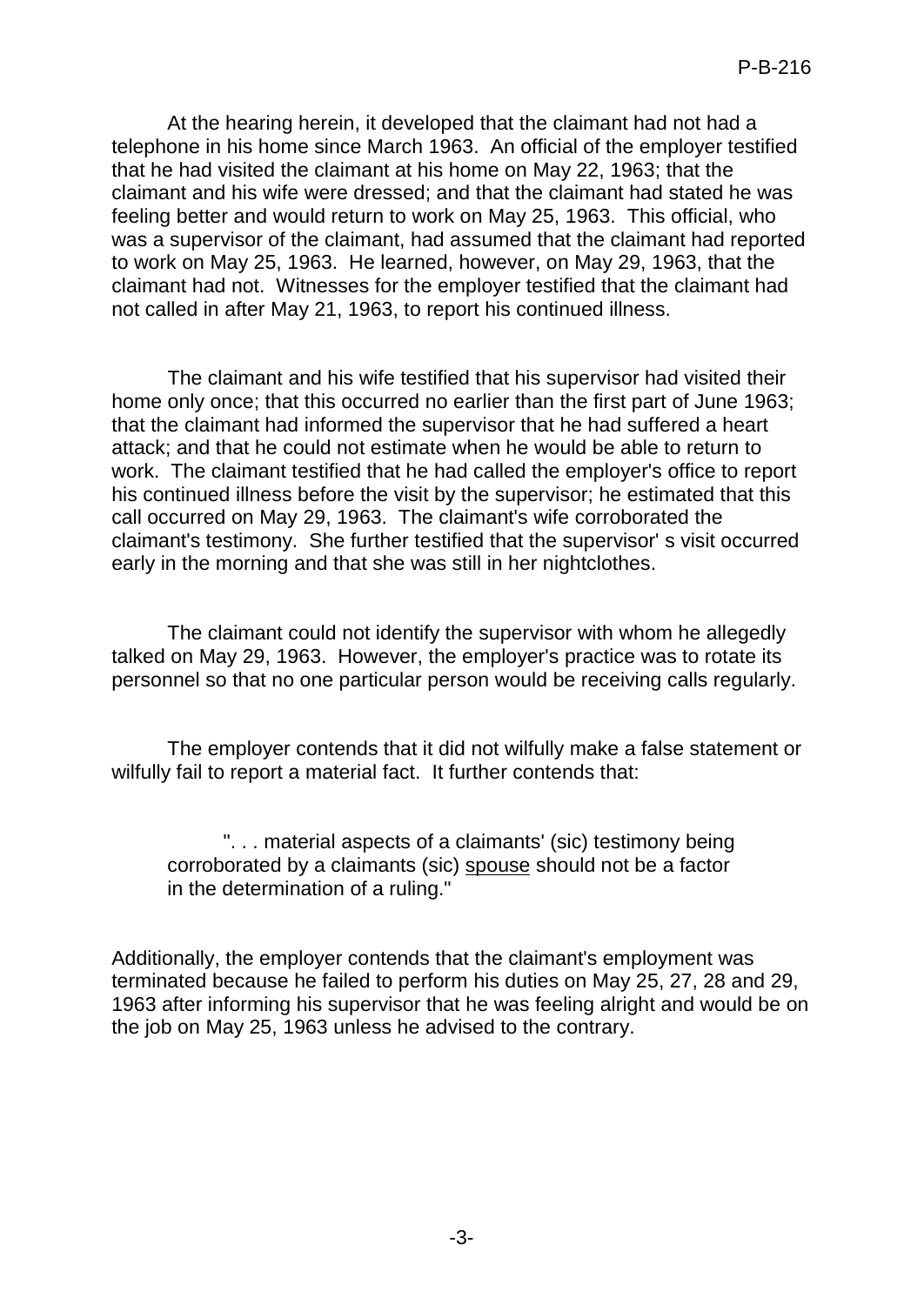At the hearing herein, it developed that the claimant had not had a telephone in his home since March 1963. An official of the employer testified that he had visited the claimant at his home on May 22, 1963; that the claimant and his wife were dressed; and that the claimant had stated he was feeling better and would return to work on May 25, 1963. This official, who was a supervisor of the claimant, had assumed that the claimant had reported to work on May 25, 1963. He learned, however, on May 29, 1963, that the claimant had not. Witnesses for the employer testified that the claimant had not called in after May 21, 1963, to report his continued illness.

The claimant and his wife testified that his supervisor had visited their home only once; that this occurred no earlier than the first part of June 1963; that the claimant had informed the supervisor that he had suffered a heart attack; and that he could not estimate when he would be able to return to work. The claimant testified that he had called the employer's office to report his continued illness before the visit by the supervisor; he estimated that this call occurred on May 29, 1963. The claimant's wife corroborated the claimant's testimony. She further testified that the supervisor' s visit occurred early in the morning and that she was still in her nightclothes.

The claimant could not identify the supervisor with whom he allegedly talked on May 29, 1963. However, the employer's practice was to rotate its personnel so that no one particular person would be receiving calls regularly.

The employer contends that it did not wilfully make a false statement or wilfully fail to report a material fact. It further contends that:

". . . material aspects of a claimants' (sic) testimony being corroborated by a claimants (sic) spouse should not be a factor in the determination of a ruling."

Additionally, the employer contends that the claimant's employment was terminated because he failed to perform his duties on May 25, 27, 28 and 29, 1963 after informing his supervisor that he was feeling alright and would be on the job on May 25, 1963 unless he advised to the contrary.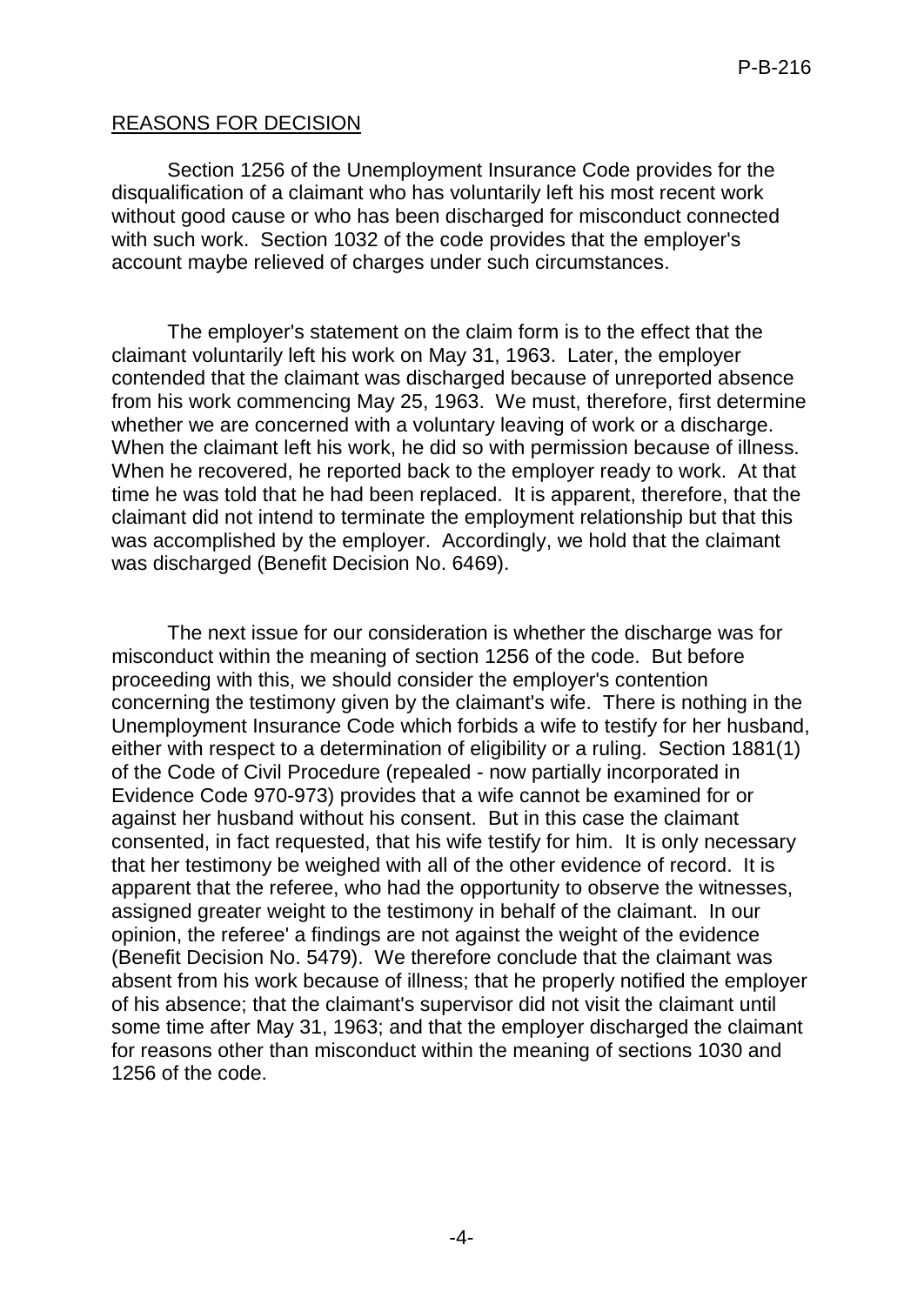### REASONS FOR DECISION

Section 1256 of the Unemployment Insurance Code provides for the disqualification of a claimant who has voluntarily left his most recent work without good cause or who has been discharged for misconduct connected with such work. Section 1032 of the code provides that the employer's account maybe relieved of charges under such circumstances.

The employer's statement on the claim form is to the effect that the claimant voluntarily left his work on May 31, 1963. Later, the employer contended that the claimant was discharged because of unreported absence from his work commencing May 25, 1963. We must, therefore, first determine whether we are concerned with a voluntary leaving of work or a discharge. When the claimant left his work, he did so with permission because of illness. When he recovered, he reported back to the employer ready to work. At that time he was told that he had been replaced. It is apparent, therefore, that the claimant did not intend to terminate the employment relationship but that this was accomplished by the employer. Accordingly, we hold that the claimant was discharged (Benefit Decision No. 6469).

The next issue for our consideration is whether the discharge was for misconduct within the meaning of section 1256 of the code. But before proceeding with this, we should consider the employer's contention concerning the testimony given by the claimant's wife. There is nothing in the Unemployment Insurance Code which forbids a wife to testify for her husband, either with respect to a determination of eligibility or a ruling. Section 1881(1) of the Code of Civil Procedure (repealed - now partially incorporated in Evidence Code 970-973) provides that a wife cannot be examined for or against her husband without his consent. But in this case the claimant consented, in fact requested, that his wife testify for him. It is only necessary that her testimony be weighed with all of the other evidence of record. It is apparent that the referee, who had the opportunity to observe the witnesses, assigned greater weight to the testimony in behalf of the claimant. In our opinion, the referee' a findings are not against the weight of the evidence (Benefit Decision No. 5479). We therefore conclude that the claimant was absent from his work because of illness; that he properly notified the employer of his absence; that the claimant's supervisor did not visit the claimant until some time after May 31, 1963; and that the employer discharged the claimant for reasons other than misconduct within the meaning of sections 1030 and 1256 of the code.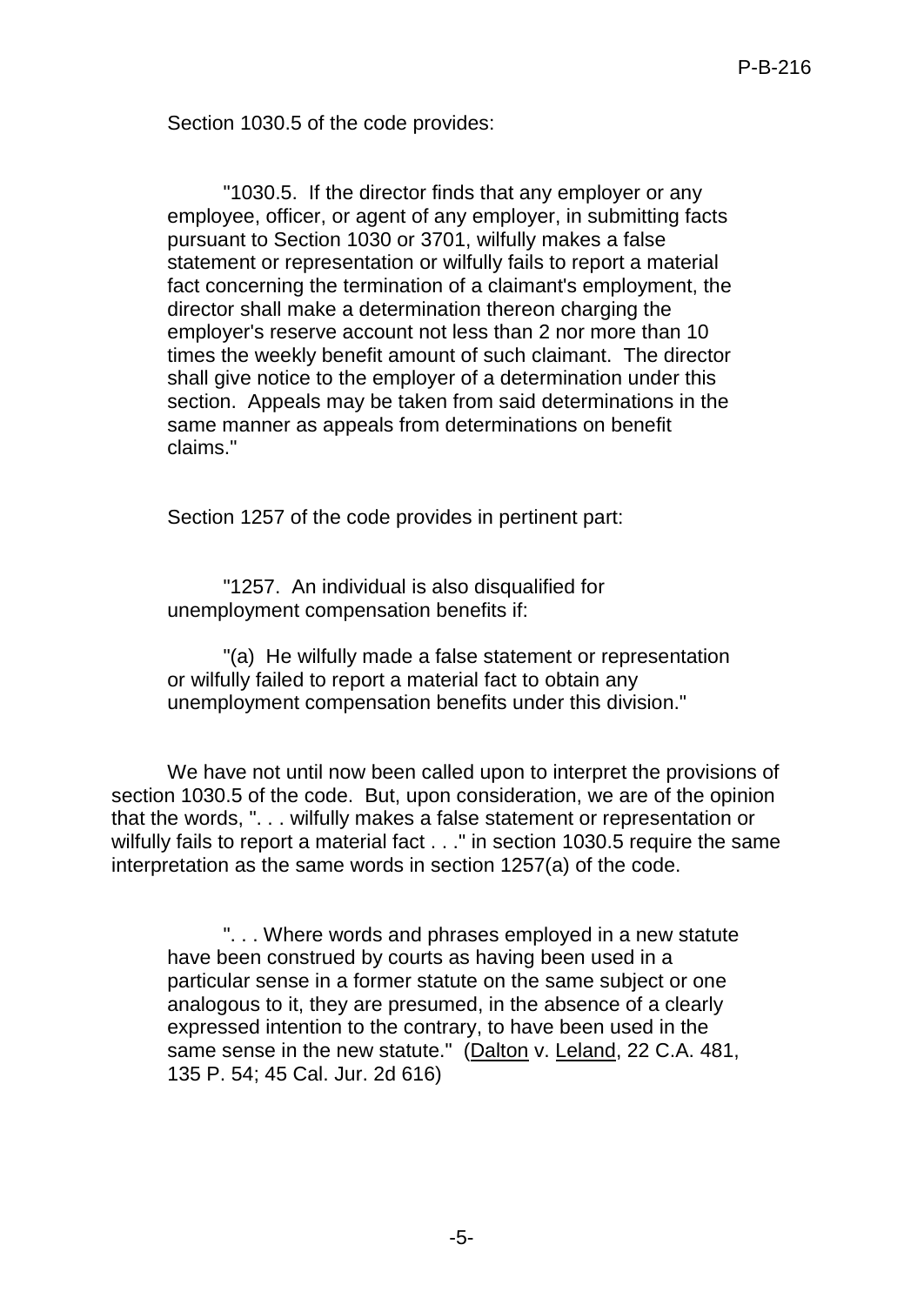Section 1030.5 of the code provides:

"1030.5. If the director finds that any employer or any employee, officer, or agent of any employer, in submitting facts pursuant to Section 1030 or 3701, wilfully makes a false statement or representation or wilfully fails to report a material fact concerning the termination of a claimant's employment, the director shall make a determination thereon charging the employer's reserve account not less than 2 nor more than 10 times the weekly benefit amount of such claimant. The director shall give notice to the employer of a determination under this section. Appeals may be taken from said determinations in the same manner as appeals from determinations on benefit claims."

Section 1257 of the code provides in pertinent part:

"1257. An individual is also disqualified for unemployment compensation benefits if:

"(a) He wilfully made a false statement or representation or wilfully failed to report a material fact to obtain any unemployment compensation benefits under this division."

We have not until now been called upon to interpret the provisions of section 1030.5 of the code. But, upon consideration, we are of the opinion that the words, ". . . wilfully makes a false statement or representation or wilfully fails to report a material fact . . ." in section 1030.5 require the same interpretation as the same words in section 1257(a) of the code.

". . . Where words and phrases employed in a new statute have been construed by courts as having been used in a particular sense in a former statute on the same subject or one analogous to it, they are presumed, in the absence of a clearly expressed intention to the contrary, to have been used in the same sense in the new statute." (Dalton v. Leland, 22 C.A. 481, 135 P. 54; 45 Cal. Jur. 2d 616)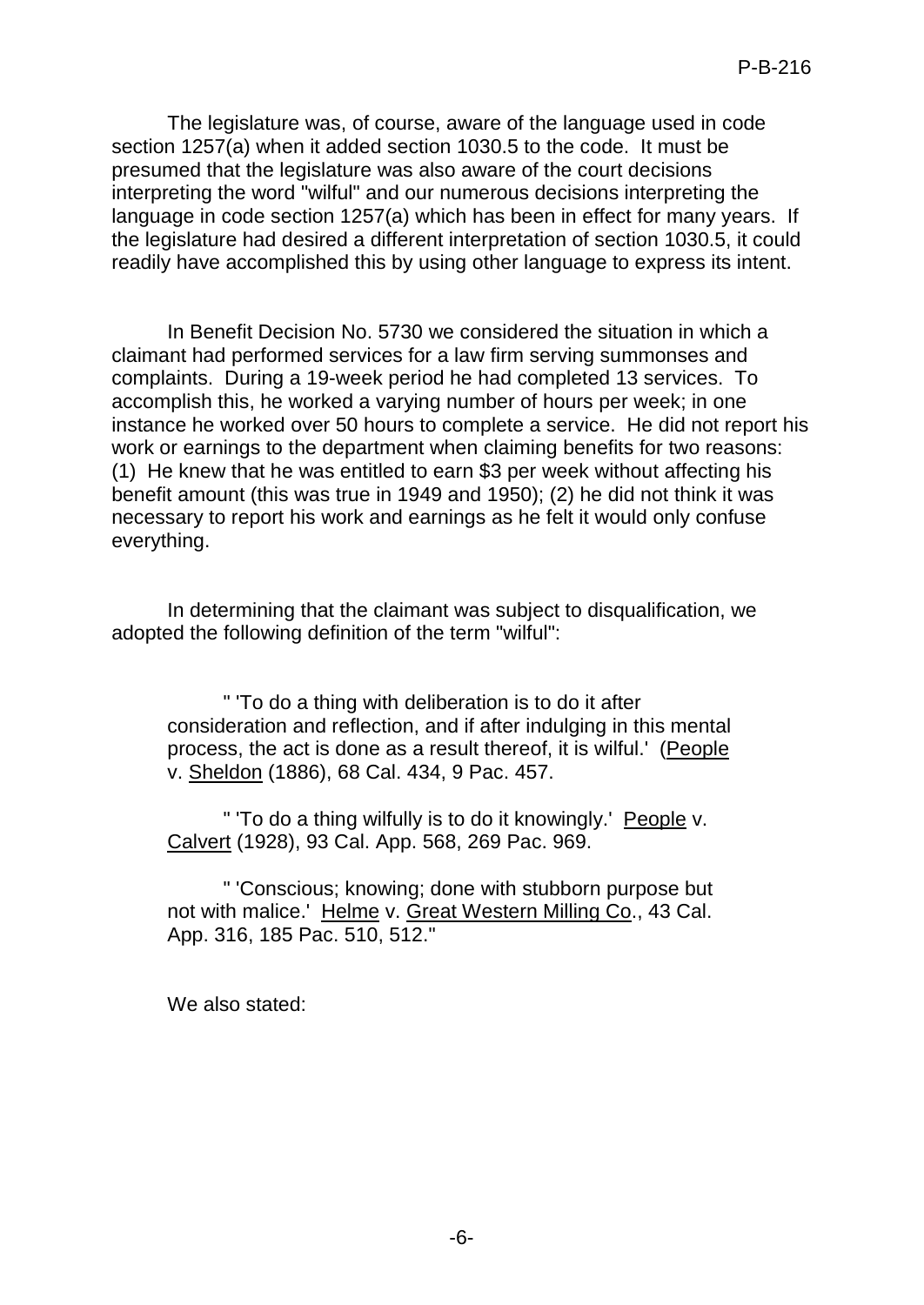The legislature was, of course, aware of the language used in code section 1257(a) when it added section 1030.5 to the code. It must be presumed that the legislature was also aware of the court decisions interpreting the word "wilful" and our numerous decisions interpreting the language in code section 1257(a) which has been in effect for many years. If the legislature had desired a different interpretation of section 1030.5, it could readily have accomplished this by using other language to express its intent.

In Benefit Decision No. 5730 we considered the situation in which a claimant had performed services for a law firm serving summonses and complaints. During a 19-week period he had completed 13 services. To accomplish this, he worked a varying number of hours per week; in one instance he worked over 50 hours to complete a service. He did not report his work or earnings to the department when claiming benefits for two reasons: (1) He knew that he was entitled to earn \$3 per week without affecting his benefit amount (this was true in 1949 and 1950); (2) he did not think it was necessary to report his work and earnings as he felt it would only confuse everything.

In determining that the claimant was subject to disqualification, we adopted the following definition of the term "wilful":

" 'To do a thing with deliberation is to do it after consideration and reflection, and if after indulging in this mental process, the act is done as a result thereof, it is wilful.' (People v. Sheldon (1886), 68 Cal. 434, 9 Pac. 457.

" 'To do a thing wilfully is to do it knowingly.' People v. Calvert (1928), 93 Cal. App. 568, 269 Pac. 969.

" 'Conscious; knowing; done with stubborn purpose but not with malice.' Helme v. Great Western Milling Co., 43 Cal. App. 316, 185 Pac. 510, 512."

We also stated: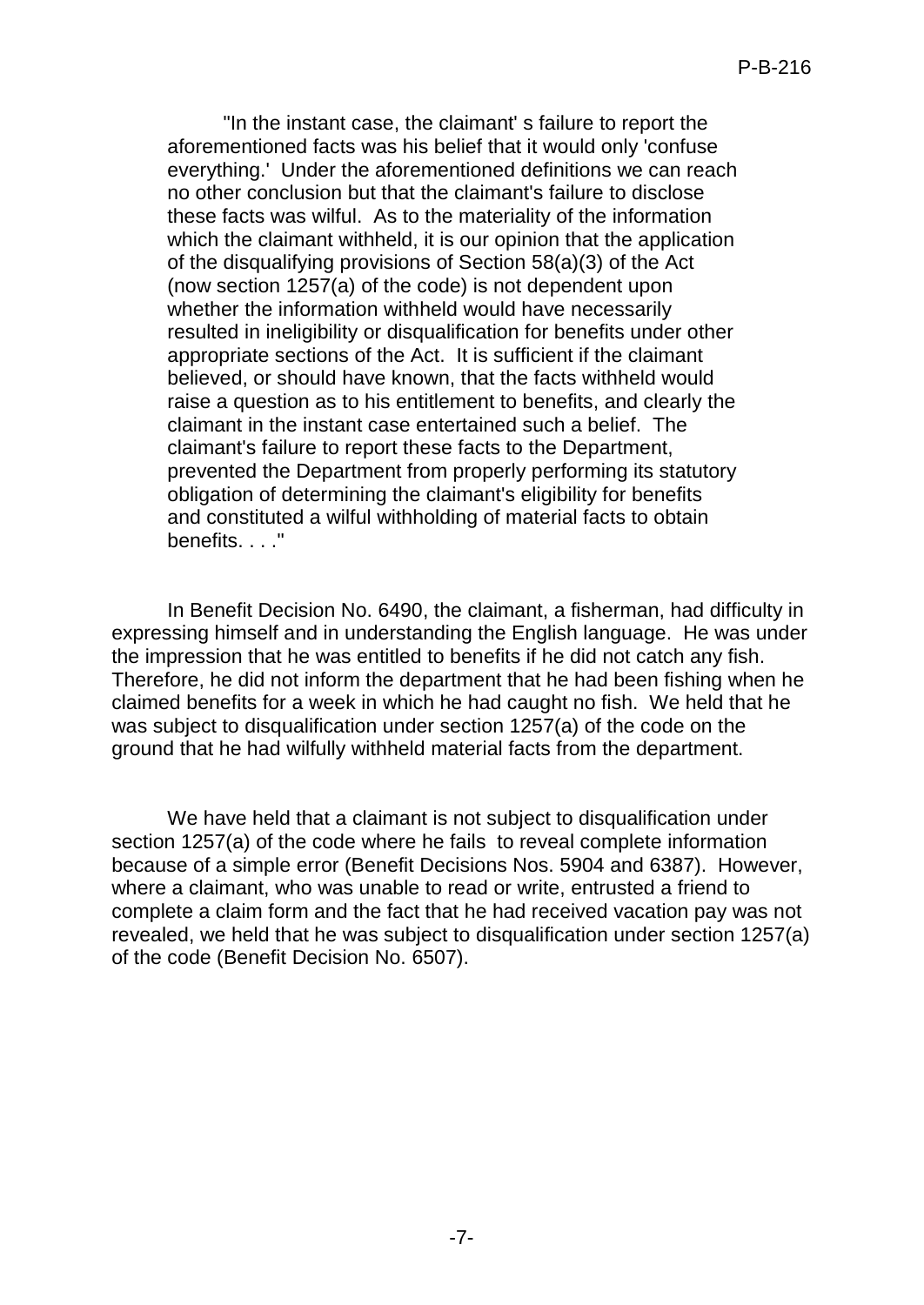"In the instant case, the claimant' s failure to report the aforementioned facts was his belief that it would only 'confuse everything.' Under the aforementioned definitions we can reach no other conclusion but that the claimant's failure to disclose these facts was wilful. As to the materiality of the information which the claimant withheld, it is our opinion that the application of the disqualifying provisions of Section 58(a)(3) of the Act (now section 1257(a) of the code) is not dependent upon whether the information withheld would have necessarily resulted in ineligibility or disqualification for benefits under other appropriate sections of the Act. It is sufficient if the claimant believed, or should have known, that the facts withheld would raise a question as to his entitlement to benefits, and clearly the claimant in the instant case entertained such a belief. The claimant's failure to report these facts to the Department, prevented the Department from properly performing its statutory obligation of determining the claimant's eligibility for benefits and constituted a wilful withholding of material facts to obtain benefits...."

In Benefit Decision No. 6490, the claimant, a fisherman, had difficulty in expressing himself and in understanding the English language. He was under the impression that he was entitled to benefits if he did not catch any fish. Therefore, he did not inform the department that he had been fishing when he claimed benefits for a week in which he had caught no fish. We held that he was subject to disqualification under section 1257(a) of the code on the ground that he had wilfully withheld material facts from the department.

We have held that a claimant is not subject to disqualification under section 1257(a) of the code where he fails to reveal complete information because of a simple error (Benefit Decisions Nos. 5904 and 6387). However, where a claimant, who was unable to read or write, entrusted a friend to complete a claim form and the fact that he had received vacation pay was not revealed, we held that he was subject to disqualification under section 1257(a) of the code (Benefit Decision No. 6507).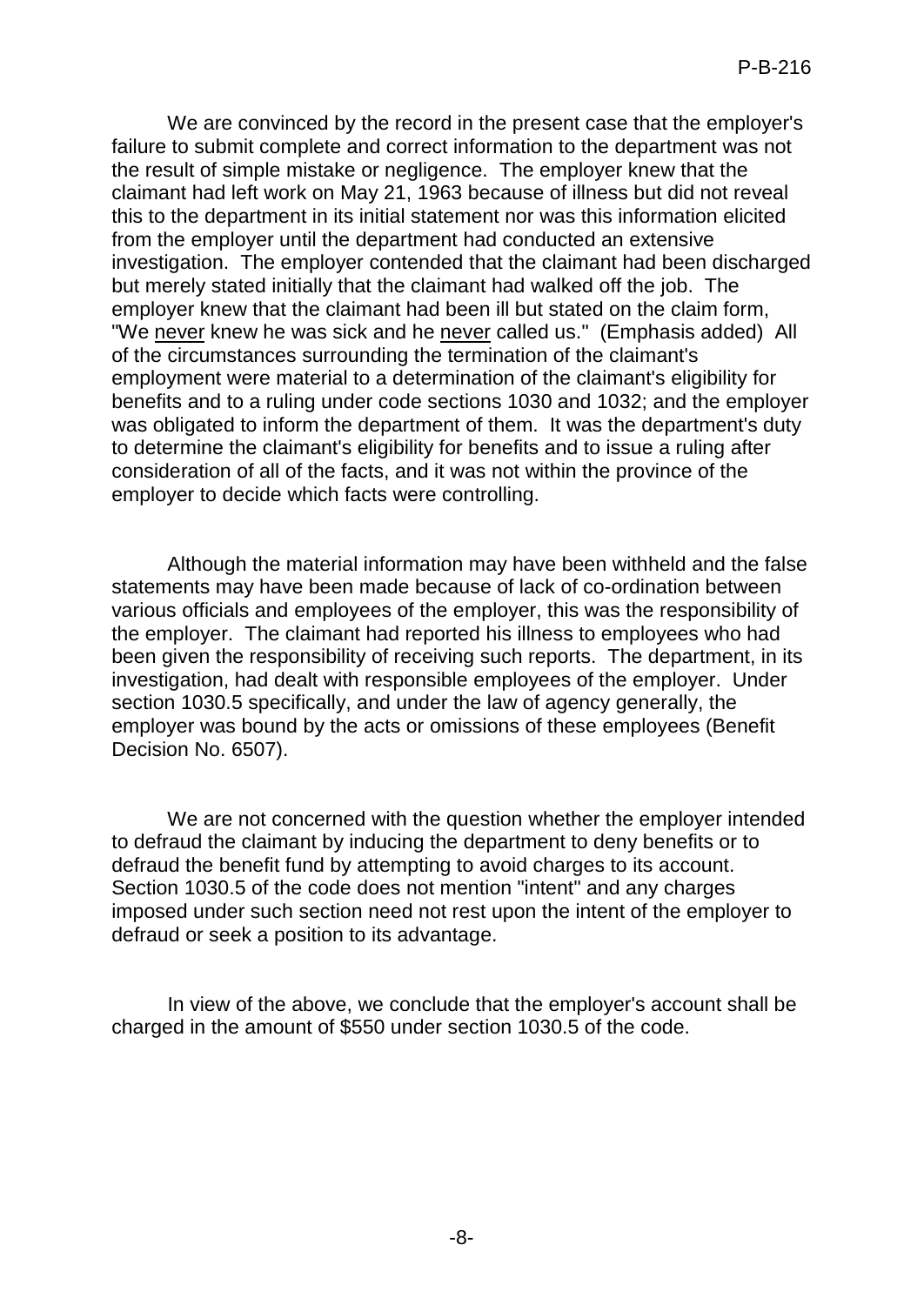We are convinced by the record in the present case that the employer's failure to submit complete and correct information to the department was not the result of simple mistake or negligence. The employer knew that the claimant had left work on May 21, 1963 because of illness but did not reveal this to the department in its initial statement nor was this information elicited from the employer until the department had conducted an extensive investigation. The employer contended that the claimant had been discharged but merely stated initially that the claimant had walked off the job. The employer knew that the claimant had been ill but stated on the claim form, "We never knew he was sick and he never called us." (Emphasis added) All of the circumstances surrounding the termination of the claimant's employment were material to a determination of the claimant's eligibility for benefits and to a ruling under code sections 1030 and 1032; and the employer was obligated to inform the department of them. It was the department's duty to determine the claimant's eligibility for benefits and to issue a ruling after consideration of all of the facts, and it was not within the province of the employer to decide which facts were controlling.

Although the material information may have been withheld and the false statements may have been made because of lack of co-ordination between various officials and employees of the employer, this was the responsibility of the employer. The claimant had reported his illness to employees who had been given the responsibility of receiving such reports. The department, in its investigation, had dealt with responsible employees of the employer. Under section 1030.5 specifically, and under the law of agency generally, the employer was bound by the acts or omissions of these employees (Benefit Decision No. 6507).

We are not concerned with the question whether the employer intended to defraud the claimant by inducing the department to deny benefits or to defraud the benefit fund by attempting to avoid charges to its account. Section 1030.5 of the code does not mention "intent" and any charges imposed under such section need not rest upon the intent of the employer to defraud or seek a position to its advantage.

In view of the above, we conclude that the employer's account shall be charged in the amount of \$550 under section 1030.5 of the code.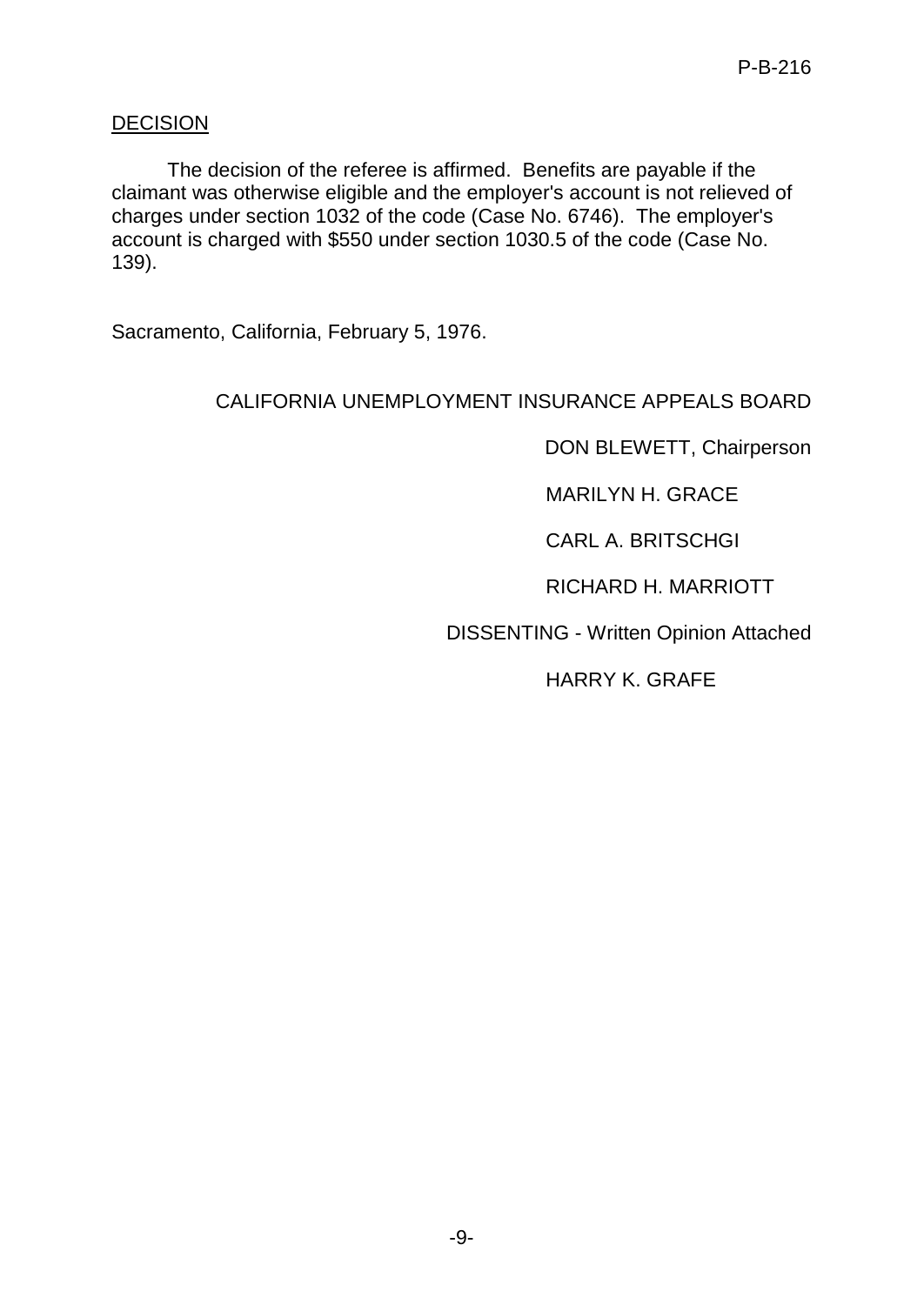### **DECISION**

The decision of the referee is affirmed. Benefits are payable if the claimant was otherwise eligible and the employer's account is not relieved of charges under section 1032 of the code (Case No. 6746). The employer's account is charged with \$550 under section 1030.5 of the code (Case No. 139).

Sacramento, California, February 5, 1976.

## CALIFORNIA UNEMPLOYMENT INSURANCE APPEALS BOARD

DON BLEWETT, Chairperson

MARILYN H. GRACE

CARL A. BRITSCHGI

RICHARD H. MARRIOTT

DISSENTING - Written Opinion Attached

HARRY K. GRAFE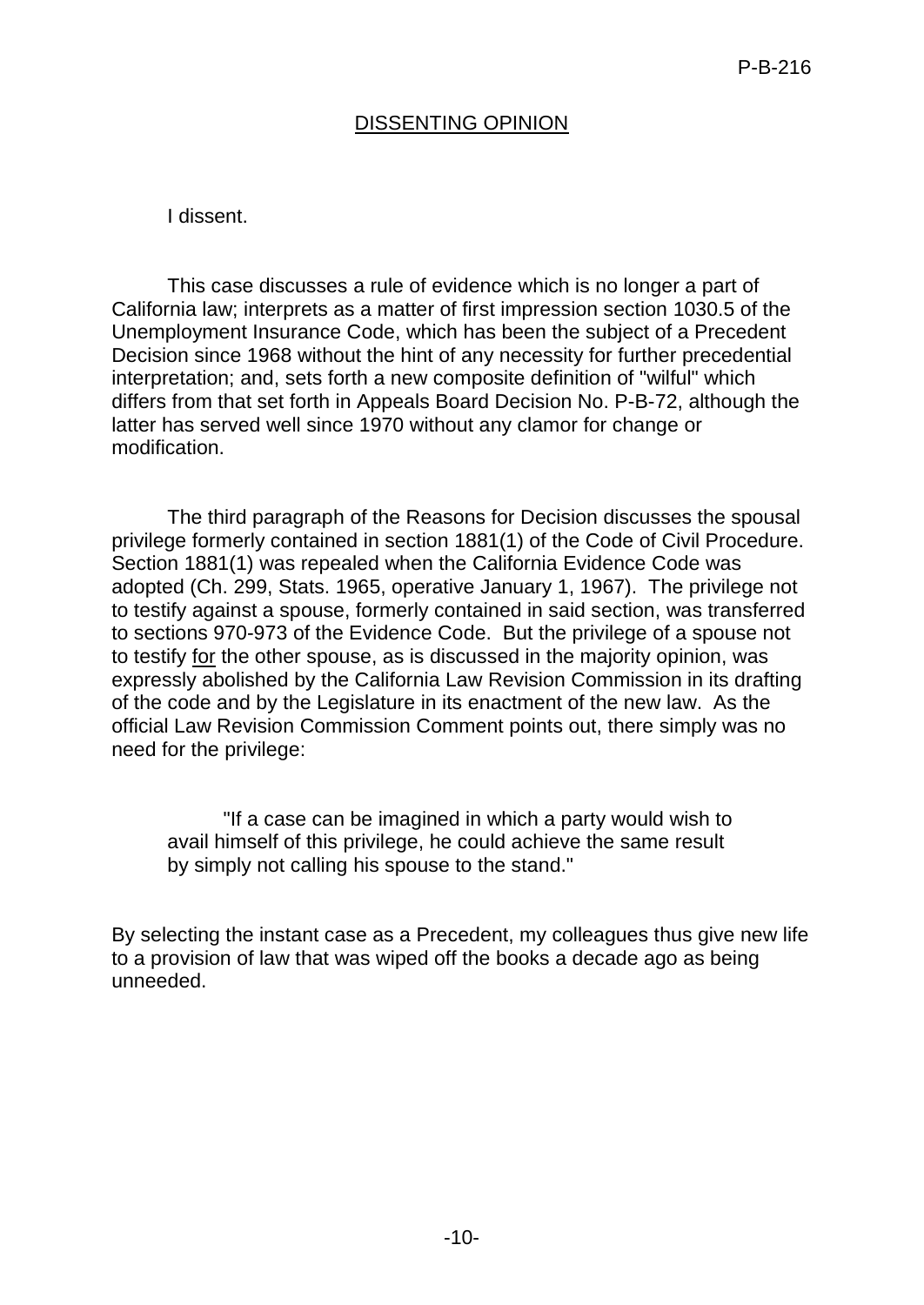### DISSENTING OPINION

#### I dissent.

This case discusses a rule of evidence which is no longer a part of California law; interprets as a matter of first impression section 1030.5 of the Unemployment Insurance Code, which has been the subject of a Precedent Decision since 1968 without the hint of any necessity for further precedential interpretation; and, sets forth a new composite definition of "wilful" which differs from that set forth in Appeals Board Decision No. P-B-72, although the latter has served well since 1970 without any clamor for change or modification.

The third paragraph of the Reasons for Decision discusses the spousal privilege formerly contained in section 1881(1) of the Code of Civil Procedure. Section 1881(1) was repealed when the California Evidence Code was adopted (Ch. 299, Stats. 1965, operative January 1, 1967). The privilege not to testify against a spouse, formerly contained in said section, was transferred to sections 970-973 of the Evidence Code. But the privilege of a spouse not to testify for the other spouse, as is discussed in the majority opinion, was expressly abolished by the California Law Revision Commission in its drafting of the code and by the Legislature in its enactment of the new law. As the official Law Revision Commission Comment points out, there simply was no need for the privilege:

"If a case can be imagined in which a party would wish to avail himself of this privilege, he could achieve the same result by simply not calling his spouse to the stand."

By selecting the instant case as a Precedent, my colleagues thus give new life to a provision of law that was wiped off the books a decade ago as being unneeded.